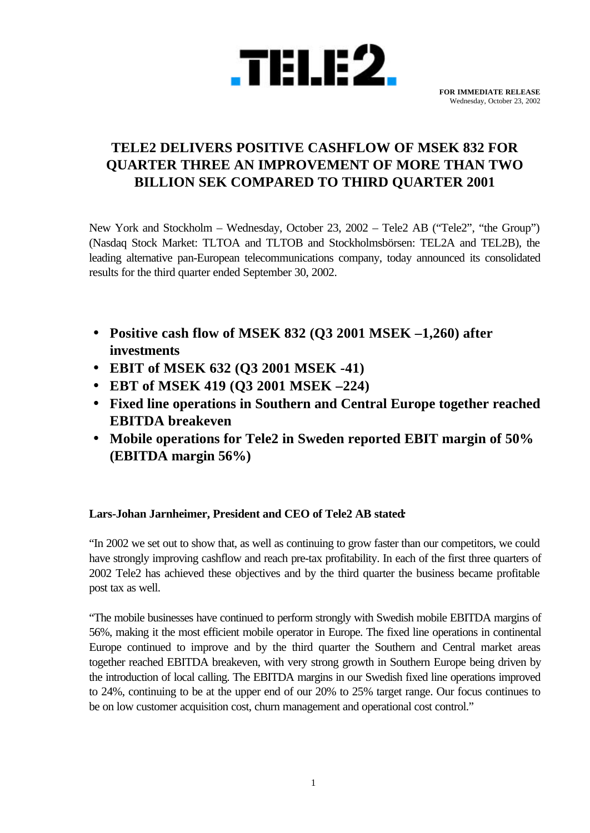

# **TELE2 DELIVERS POSITIVE CASHFLOW OF MSEK 832 FOR QUARTER THREE AN IMPROVEMENT OF MORE THAN TWO BILLION SEK COMPARED TO THIRD QUARTER 2001**

New York and Stockholm – Wednesday, October 23, 2002 – Tele2 AB ("Tele2", "the Group") (Nasdaq Stock Market: TLTOA and TLTOB and Stockholmsbörsen: TEL2A and TEL2B), the leading alternative pan-European telecommunications company, today announced its consolidated results for the third quarter ended September 30, 2002.

- **· Positive cash flow of MSEK 832 (Q3 2001 MSEK –1,260) after investments**
- **· EBIT of MSEK 632 (Q3 2001 MSEK -41)**
- **· EBT of MSEK 419 (Q3 2001 MSEK –224)**
- **· Fixed line operations in Southern and Central Europe together reached EBITDA breakeven**
- **· Mobile operations for Tele2 in Sweden reported EBIT margin of 50% (EBITDA margin 56%)**

## **Lars-Johan Jarnheimer, President and CEO of Tele2 AB stated***:*

"In 2002 we set out to show that, as well as continuing to grow faster than our competitors, we could have strongly improving cashflow and reach pre-tax profitability. In each of the first three quarters of 2002 Tele2 has achieved these objectives and by the third quarter the business became profitable post tax as well.

"The mobile businesses have continued to perform strongly with Swedish mobile EBITDA margins of 56%, making it the most efficient mobile operator in Europe. The fixed line operations in continental Europe continued to improve and by the third quarter the Southern and Central market areas together reached EBITDA breakeven, with very strong growth in Southern Europe being driven by the introduction of local calling. The EBITDA margins in our Swedish fixed line operations improved to 24%, continuing to be at the upper end of our 20% to 25% target range. Our focus continues to be on low customer acquisition cost, churn management and operational cost control."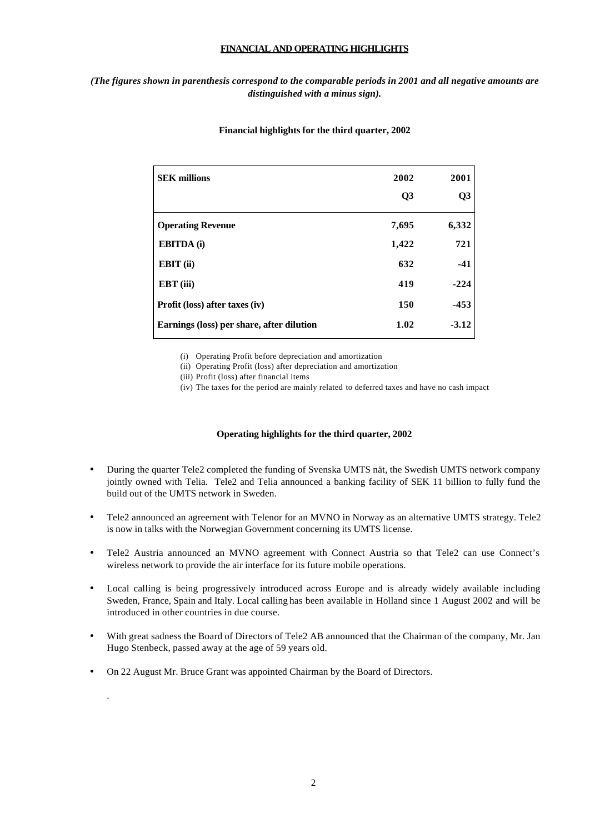### **FINANCIAL AND OPERATING HIGHLIGHTS**

## *(The figures shown in parenthesis correspond to the comparable periods in 2001 and all negative amounts are distinguished with a minus sign).*

| <b>SEK millions</b>                       | 2002<br>Q3 | 2001<br>Q <sub>3</sub> |
|-------------------------------------------|------------|------------------------|
| <b>Operating Revenue</b>                  | 7,695      | 6,332                  |
| <b>EBITDA</b> (i)                         | 1,422      | 721                    |
| EBIT (ii)                                 | 632        | $-41$                  |
| EBT (iii)                                 | 419        | $-224$                 |
| Profit (loss) after taxes (iv)            | 150        | $-453$                 |
| Earnings (loss) per share, after dilution | 1.02       | $-3.12$                |

#### **Financial highlights for the third quarter, 2002**

(i) Operating Profit before depreciation and amortization

(ii) Operating Profit (loss) after depreciation and amortization

(iii) Profit (loss) after financial items

(iv) The taxes for the period are mainly related to deferred taxes and have no cash impact

#### **Operating highlights for the third quarter, 2002**

- During the quarter Tele2 completed the funding of Svenska UMTS nät, the Swedish UMTS network company jointly owned with Telia. Tele2 and Telia announced a banking facility of SEK 11 billion to fully fund the build out of the UMTS network in Sweden.
- Tele2 announced an agreement with Telenor for an MVNO in Norway as an alternative UMTS strategy. Tele2 is now in talks with the Norwegian Government concerning its UMTS license.
- Tele2 Austria announced an MVNO agreement with Connect Austria so that Tele2 can use Connect's wireless network to provide the air interface for its future mobile operations.
- Local calling is being progressively introduced across Europe and is already widely available including Sweden, France, Spain and Italy. Local calling has been available in Holland since 1 August 2002 and will be introduced in other countries in due course.
- With great sadness the Board of Directors of Tele2 AB announced that the Chairman of the company, Mr. Jan Hugo Stenbeck, passed away at the age of 59 years old.
- On 22 August Mr. Bruce Grant was appointed Chairman by the Board of Directors.

.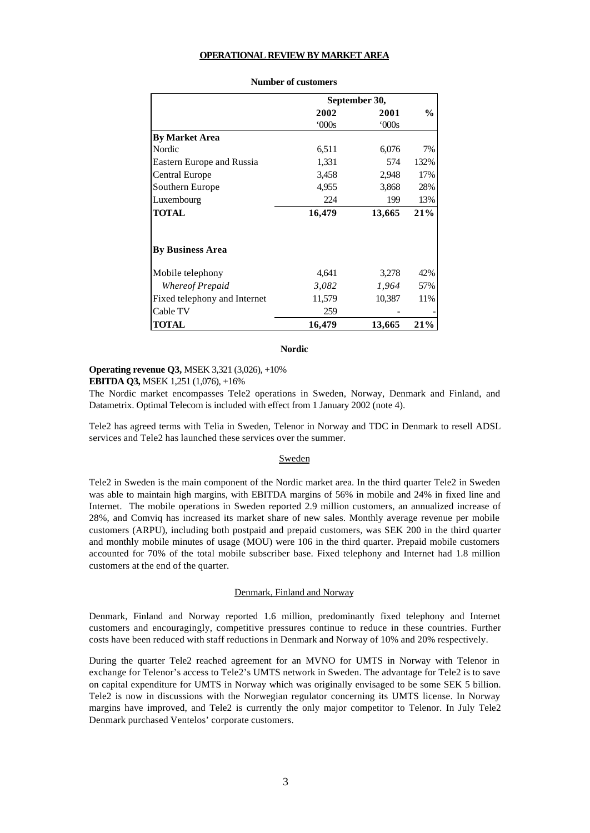#### **OPERATIONAL REVIEW BY MARKET AREA**

|                              |        | September 30, |      |
|------------------------------|--------|---------------|------|
|                              | 2002   | 2001          | $\%$ |
|                              | 000s   | 000s          |      |
| <b>By Market Area</b>        |        |               |      |
| Nordic                       | 6,511  | 6,076         | 7%   |
| Eastern Europe and Russia    | 1,331  | 574           | 132% |
| Central Europe               | 3,458  | 2,948         | 17%  |
| Southern Europe              | 4,955  | 3,868         | 28%  |
| Luxembourg                   | 224    | 199           | 13%  |
| <b>TOTAL</b>                 | 16,479 | 13,665        | 21%  |
| <b>By Business Area</b>      |        |               |      |
| Mobile telephony             | 4,641  | 3,278         | 42%  |
| Whereof Prepaid              | 3,082  | 1,964         | 57%  |
| Fixed telephony and Internet | 11,579 | 10,387        | 11%  |
| Cable TV                     | 259    |               |      |
| <b>TOTAL</b>                 | 16,479 | 13,665        | 21%  |

#### **Number of customers**

#### **Nordic**

### **Operating revenue Q3,** MSEK 3,321 (3,026), +10%

**EBITDA Q3,** MSEK 1,251 (1,076), +16%

The Nordic market encompasses Tele2 operations in Sweden, Norway, Denmark and Finland, and Datametrix. Optimal Telecom is included with effect from 1 January 2002 (note 4).

Tele2 has agreed terms with Telia in Sweden, Telenor in Norway and TDC in Denmark to resell ADSL services and Tele2 has launched these services over the summer.

### Sweden

Tele2 in Sweden is the main component of the Nordic market area. In the third quarter Tele2 in Sweden was able to maintain high margins, with EBITDA margins of 56% in mobile and 24% in fixed line and Internet. The mobile operations in Sweden reported 2.9 million customers, an annualized increase of 28%, and Comviq has increased its market share of new sales. Monthly average revenue per mobile customers (ARPU), including both postpaid and prepaid customers, was SEK 200 in the third quarter and monthly mobile minutes of usage (MOU) were 106 in the third quarter. Prepaid mobile customers accounted for 70% of the total mobile subscriber base. Fixed telephony and Internet had 1.8 million customers at the end of the quarter.

#### Denmark, Finland and Norway

Denmark, Finland and Norway reported 1.6 million, predominantly fixed telephony and Internet customers and encouragingly, competitive pressures continue to reduce in these countries. Further costs have been reduced with staff reductions in Denmark and Norway of 10% and 20% respectively.

During the quarter Tele2 reached agreement for an MVNO for UMTS in Norway with Telenor in exchange for Telenor's access to Tele2's UMTS network in Sweden. The advantage for Tele2 is to save on capital expenditure for UMTS in Norway which was originally envisaged to be some SEK 5 billion. Tele2 is now in discussions with the Norwegian regulator concerning its UMTS license. In Norway margins have improved, and Tele2 is currently the only major competitor to Telenor. In July Tele2 Denmark purchased Ventelos' corporate customers.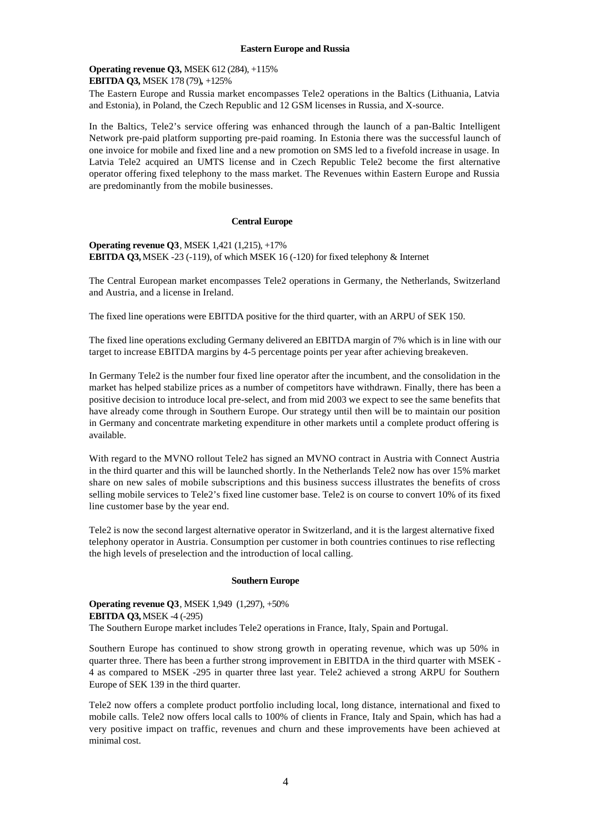#### **Eastern Europe and Russia**

### **Operating revenue Q3,** MSEK 612 (284), +115% **EBITDA Q3,** MSEK 178 (79)*,* +125%

The Eastern Europe and Russia market encompasses Tele2 operations in the Baltics (Lithuania, Latvia and Estonia), in Poland, the Czech Republic and 12 GSM licenses in Russia, and X-source.

In the Baltics, Tele2's service offering was enhanced through the launch of a pan-Baltic Intelligent Network pre-paid platform supporting pre-paid roaming. In Estonia there was the successful launch of one invoice for mobile and fixed line and a new promotion on SMS led to a fivefold increase in usage. In Latvia Tele2 acquired an UMTS license and in Czech Republic Tele2 become the first alternative operator offering fixed telephony to the mass market. The Revenues within Eastern Europe and Russia are predominantly from the mobile businesses.

#### **Central Europe**

**Operating revenue Q3**, MSEK 1,421 (1,215), +17% **EBITDA Q3,** MSEK -23 (-119), of which MSEK 16 (-120) for fixed telephony & Internet

The Central European market encompasses Tele2 operations in Germany, the Netherlands, Switzerland and Austria, and a license in Ireland.

The fixed line operations were EBITDA positive for the third quarter, with an ARPU of SEK 150.

The fixed line operations excluding Germany delivered an EBITDA margin of 7% which is in line with our target to increase EBITDA margins by 4-5 percentage points per year after achieving breakeven.

In Germany Tele2 is the number four fixed line operator after the incumbent, and the consolidation in the market has helped stabilize prices as a number of competitors have withdrawn. Finally, there has been a positive decision to introduce local pre-select, and from mid 2003 we expect to see the same benefits that have already come through in Southern Europe. Our strategy until then will be to maintain our position in Germany and concentrate marketing expenditure in other markets until a complete product offering is available.

With regard to the MVNO rollout Tele2 has signed an MVNO contract in Austria with Connect Austria in the third quarter and this will be launched shortly. In the Netherlands Tele2 now has over 15% market share on new sales of mobile subscriptions and this business success illustrates the benefits of cross selling mobile services to Tele2's fixed line customer base. Tele2 is on course to convert 10% of its fixed line customer base by the year end.

Tele2 is now the second largest alternative operator in Switzerland, and it is the largest alternative fixed telephony operator in Austria. Consumption per customer in both countries continues to rise reflecting the high levels of preselection and the introduction of local calling.

#### **Southern Europe**

**Operating revenue Q3**, MSEK 1,949 (1,297), +50% **EBITDA Q3,** MSEK -4 (-295) The Southern Europe market includes Tele2 operations in France, Italy, Spain and Portugal.

Southern Europe has continued to show strong growth in operating revenue, which was up 50% in quarter three. There has been a further strong improvement in EBITDA in the third quarter with MSEK - 4 as compared to MSEK -295 in quarter three last year. Tele2 achieved a strong ARPU for Southern Europe of SEK 139 in the third quarter.

Tele2 now offers a complete product portfolio including local, long distance, international and fixed to mobile calls. Tele2 now offers local calls to 100% of clients in France, Italy and Spain, which has had a very positive impact on traffic, revenues and churn and these improvements have been achieved at minimal cost.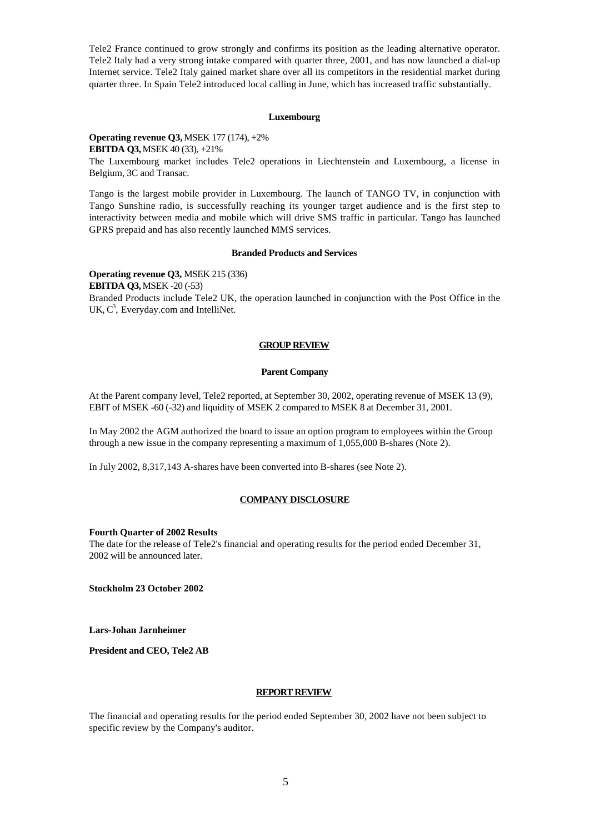Tele2 France continued to grow strongly and confirms its position as the leading alternative operator. Tele2 Italy had a very strong intake compared with quarter three, 2001, and has now launched a dial-up Internet service. Tele2 Italy gained market share over all its competitors in the residential market during quarter three. In Spain Tele2 introduced local calling in June, which has increased traffic substantially.

#### **Luxembourg**

**Operating revenue Q3,** MSEK 177 (174), +2% **EBITDA Q3,**MSEK 40 (33), +21% The Luxembourg market includes Tele2 operations in Liechtenstein and Luxembourg, a license in Belgium, 3C and Transac.

Tango is the largest mobile provider in Luxembourg. The launch of TANGO TV, in conjunction with Tango Sunshine radio, is successfully reaching its younger target audience and is the first step to interactivity between media and mobile which will drive SMS traffic in particular. Tango has launched GPRS prepaid and has also recently launched MMS services.

#### **Branded Products and Services**

**Operating revenue Q3,** MSEK 215 (336) **EBITDA Q3,** MSEK -20 (-53) Branded Products include Tele2 UK, the operation launched in conjunction with the Post Office in the UK,  $C^3$ , Everyday.com and IntelliNet.

#### **GROUP REVIEW**

#### **Parent Company**

At the Parent company level, Tele2 reported, at September 30, 2002, operating revenue of MSEK 13 (9), EBIT of MSEK -60 (-32) and liquidity of MSEK 2 compared to MSEK 8 at December 31, 2001.

In May 2002 the AGM authorized the board to issue an option program to employees within the Group through a new issue in the company representing a maximum of 1,055,000 B-shares (Note 2).

In July 2002, 8,317,143 A-shares have been converted into B-shares (see Note 2).

#### **COMPANY DISCLOSURE**

#### **Fourth Quarter of 2002 Results**

The date for the release of Tele2's financial and operating results for the period ended December 31, 2002 will be announced later.

**Stockholm 23 October 2002**

**Lars-Johan Jarnheimer**

**President and CEO, Tele2 AB**

#### **REPORT REVIEW**

The financial and operating results for the period ended September 30, 2002 have not been subject to specific review by the Company's auditor.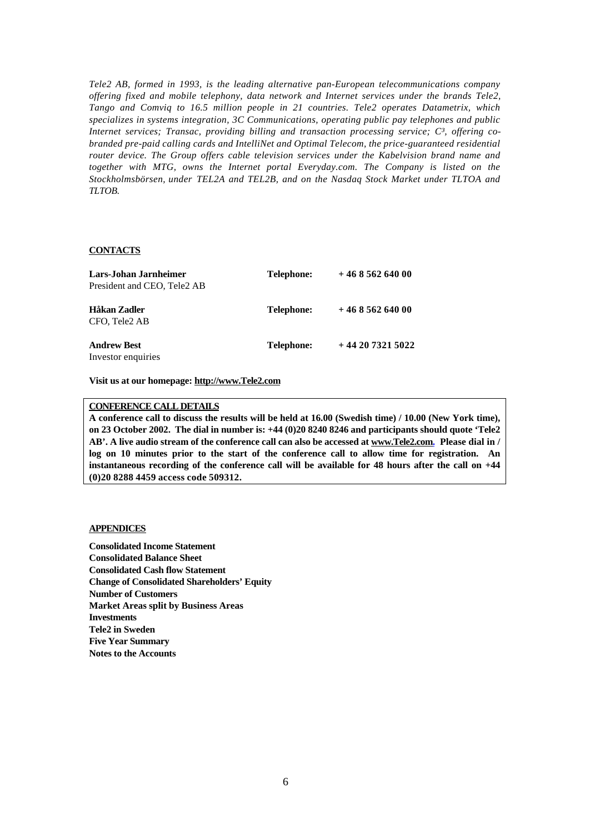*Tele2 AB, formed in 1993, is the leading alternative pan-European telecommunications company offering fixed and mobile telephony, data network and Internet services under the brands Tele2, Tango and Comviq to 16.5 million people in 21 countries. Tele2 operates Datametrix, which specializes in systems integration, 3C Communications, operating public pay telephones and public* Internet services; Transac, providing billing and transaction processing service; C<sup>3</sup>, offering co*branded pre-paid calling cards and IntelliNet and Optimal Telecom, the price-guaranteed residential router device. The Group offers cable television services under the Kabelvision brand name and together with MTG, owns the Internet portal Everyday.com. The Company is listed on the Stockholmsbörsen, under TEL2A and TEL2B, and on the Nasdaq Stock Market under TLTOA and TLTOB.*

#### **CONTACTS**

| Lars-Johan Jarnheimer                    | Telephone: | $+46856264000$  |
|------------------------------------------|------------|-----------------|
| President and CEO, Tele <sub>2</sub> AB  |            |                 |
| Håkan Zadler<br>CFO. Tele2 AB            | Telephone: | $+46856264000$  |
| <b>Andrew Best</b><br>Investor enquiries | Telephone: | $+442073215022$ |

**Visit us at our homepage: http://www.Tele2.com**

### **CONFERENCE CALL DETAILS**

**A conference call to discuss the results will be held at 16.00 (Swedish time) / 10.00 (New York time), on 23 October 2002. The dial in number is: +44 (0)20 8240 8246 and participants should quote 'Tele2 AB'. A live audio stream of the conference call can also be accessed at www.Tele2.com. Please dial in / log on 10 minutes prior to the start of the conference call to allow time for registration. An instantaneous recording of the conference call will be available for 48 hours after the call on +44 (0)20 8288 4459 access code 509312.**

#### **APPENDICES**

**Consolidated Income Statement Consolidated Balance Sheet Consolidated Cash flow Statement Change of Consolidated Shareholders' Equity Number of Customers Market Areas split by Business Areas Investments Tele2 in Sweden Five Year Summary Notes to the Accounts**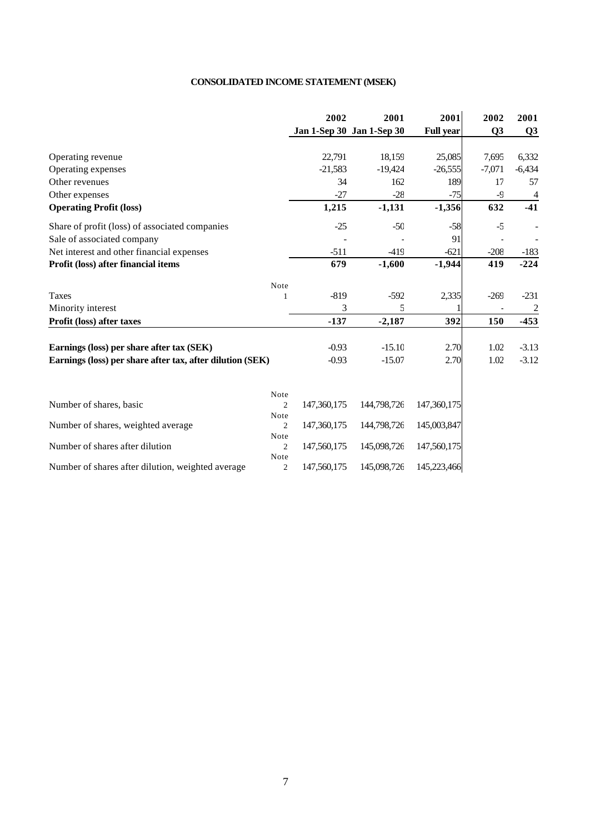## **CONSOLIDATED INCOME STATEMENT (MSEK)**

|                                                           |                | 2002        | 2001                      | 2001             | 2002           | 2001           |
|-----------------------------------------------------------|----------------|-------------|---------------------------|------------------|----------------|----------------|
|                                                           |                |             | Jan 1-Sep 30 Jan 1-Sep 30 | <b>Full year</b> | Q <sub>3</sub> | Q3             |
| Operating revenue                                         |                | 22,791      | 18,159                    | 25,085           | 7,695          | 6,332          |
| Operating expenses                                        |                | $-21,583$   | $-19,424$                 | $-26,555$        | $-7,071$       | $-6,434$       |
| Other revenues                                            |                | 34          | 162                       | 189              | 17             | 57             |
| Other expenses                                            |                | $-27$       | $-28$                     | $-75$            | $-9$           | $\overline{4}$ |
| <b>Operating Profit (loss)</b>                            |                | 1,215       | $-1,131$                  | $-1,356$         | 632            | $-41$          |
| Share of profit (loss) of associated companies            |                | $-25$       | $-50$                     | $-58$            | $-5$           |                |
| Sale of associated company                                |                |             |                           | 91               |                |                |
| Net interest and other financial expenses                 |                | $-511$      | $-419$                    | $-621$           | $-208$         | $-183$         |
| Profit (loss) after financial items                       |                | 679         | $-1,600$                  | $-1,944$         | 419            | $-224$         |
|                                                           | Note           |             |                           |                  |                |                |
| <b>Taxes</b>                                              | 1              | $-819$      | $-592$                    | 2,335            | $-269$         | $-231$         |
| Minority interest                                         |                | 3           | 5                         |                  |                | $\overline{c}$ |
| Profit (loss) after taxes                                 |                | $-137$      | $-2,187$                  | 392              | 150            | $-453$         |
| Earnings (loss) per share after tax (SEK)                 |                | $-0.93$     | $-15.10$                  | 2.70             | 1.02           | $-3.13$        |
| Earnings (loss) per share after tax, after dilution (SEK) |                | $-0.93$     | $-15.07$                  | 2.70             | 1.02           | $-3.12$        |
|                                                           |                |             |                           |                  |                |                |
| Number of shares, basic                                   | Note<br>2      | 147,360,175 | 144,798,726               | 147,360,175      |                |                |
|                                                           | Note           |             |                           |                  |                |                |
| Number of shares, weighted average                        | $\overline{2}$ | 147,360,175 | 144,798,726               | 145,003,847      |                |                |
|                                                           | Note           |             |                           |                  |                |                |
| Number of shares after dilution                           | $\overline{2}$ | 147,560,175 | 145,098,726               | 147,560,175      |                |                |
| Number of shares after dilution, weighted average         | Note<br>2      | 147,560,175 | 145,098,726               | 145,223,466      |                |                |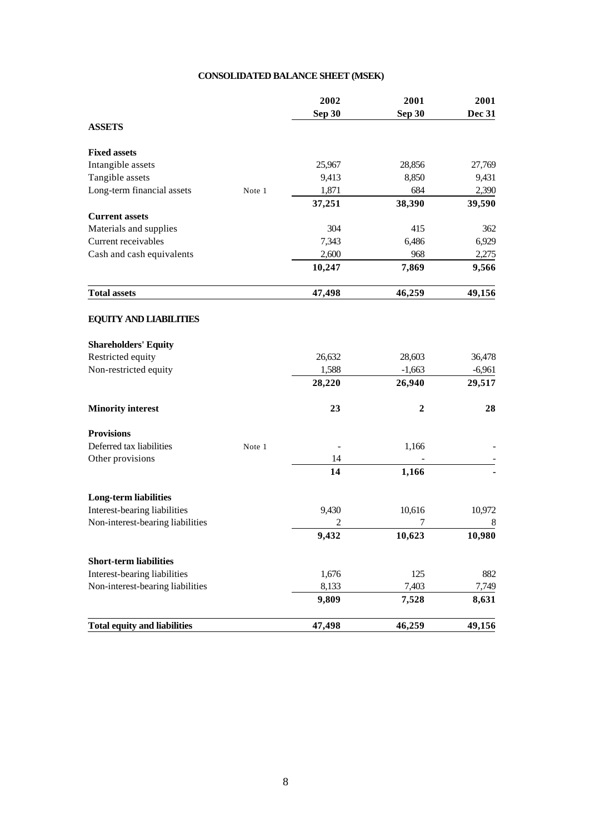## **CONSOLIDATED BALANCE SHEET (MSEK)**

|                                     |        | 2002   | 2001         | 2001          |
|-------------------------------------|--------|--------|--------------|---------------|
|                                     |        | Sep 30 | Sep 30       | <b>Dec 31</b> |
| <b>ASSETS</b>                       |        |        |              |               |
| <b>Fixed assets</b>                 |        |        |              |               |
| Intangible assets                   |        | 25,967 | 28,856       | 27,769        |
| Tangible assets                     |        | 9,413  | 8,850        | 9,431         |
| Long-term financial assets          | Note 1 | 1,871  | 684          | 2,390         |
|                                     |        | 37,251 | 38,390       | 39,590        |
| <b>Current assets</b>               |        |        |              |               |
| Materials and supplies              |        | 304    | 415          | 362           |
| Current receivables                 |        | 7,343  | 6,486        | 6,929         |
| Cash and cash equivalents           |        | 2,600  | 968          | 2,275         |
|                                     |        | 10,247 | 7,869        | 9,566         |
| <b>Total assets</b>                 |        | 47,498 | 46,259       | 49,156        |
| <b>EQUITY AND LIABILITIES</b>       |        |        |              |               |
| <b>Shareholders' Equity</b>         |        |        |              |               |
| Restricted equity                   |        | 26,632 | 28,603       | 36,478        |
| Non-restricted equity               |        | 1,588  | $-1,663$     | $-6,961$      |
|                                     |        | 28,220 | 26,940       | 29,517        |
| <b>Minority interest</b>            |        | 23     | $\mathbf{2}$ | 28            |
| <b>Provisions</b>                   |        |        |              |               |
| Deferred tax liabilities            | Note 1 |        | 1,166        |               |
| Other provisions                    |        | 14     |              |               |
|                                     |        | 14     | 1,166        |               |
| <b>Long-term liabilities</b>        |        |        |              |               |
| Interest-bearing liabilities        |        | 9,430  | 10,616       | 10,972        |
| Non-interest-bearing liabilities    |        | 2      | 7            | 8             |
|                                     |        | 9,432  | 10,623       | 10,980        |
| <b>Short-term liabilities</b>       |        |        |              |               |
| Interest-bearing liabilities        |        | 1,676  | 125          | 882           |
| Non-interest-bearing liabilities    |        | 8,133  | 7,403        | 7,749         |
|                                     |        | 9,809  | 7,528        | 8,631         |
| <b>Total equity and liabilities</b> |        | 47,498 | 46,259       | 49,156        |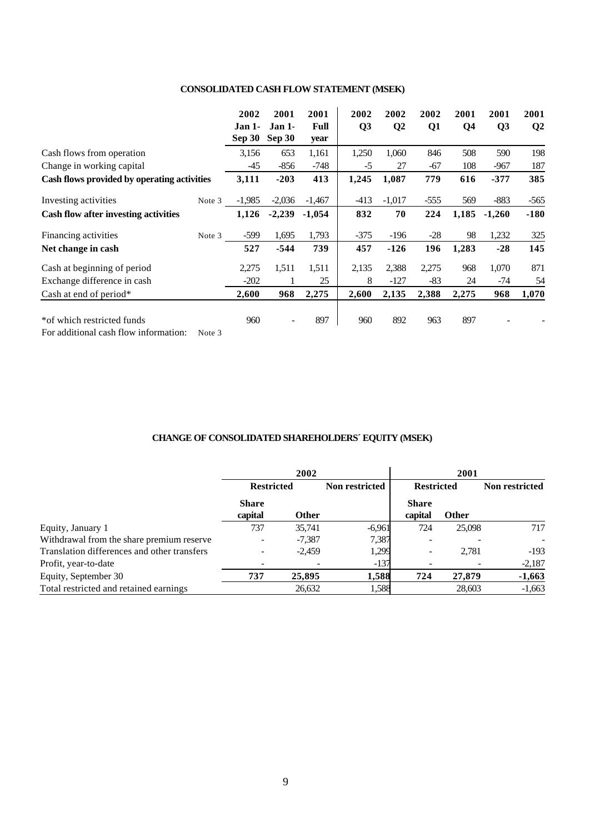## **CONSOLIDATED CASH FLOW STATEMENT (MSEK)**

|                                             |        | 2002<br>Jan 1- | 2001<br>Jan 1- | 2001<br><b>Full</b> | 2002<br>Q <sub>3</sub> | 2002<br>Q <sub>2</sub> | 2002<br>Q1 | 2001<br>Q <sub>4</sub> | 2001<br>Q3 | 2001<br>Q <sub>2</sub> |
|---------------------------------------------|--------|----------------|----------------|---------------------|------------------------|------------------------|------------|------------------------|------------|------------------------|
|                                             |        | <b>Sep 30</b>  | Sep 30         | year                |                        |                        |            |                        |            |                        |
| Cash flows from operation                   |        | 3,156          | 653            | 1,161               | 1,250                  | 1,060                  | 846        | 508                    | 590        | 198                    |
| Change in working capital                   |        | $-45$          | $-856$         | $-748$              | $-5$                   | 27                     | -67        | 108                    | $-967$     | 187                    |
| Cash flows provided by operating activities |        | 3,111          | $-203$         | 413                 | 1,245                  | 1,087                  | 779        | 616                    | $-377$     | 385                    |
| Investing activities                        | Note 3 | $-1,985$       | $-2,036$       | $-1,467$            | $-413$                 | $-1,017$               | $-555$     | 569                    | $-883$     | $-565$                 |
| Cash flow after investing activities        |        | 1,126          | $-2,239$       | $-1,054$            | 832                    | 70                     | 224        | 1,185                  | $-1,260$   | $-180$                 |
| Financing activities                        | Note 3 | -599           | 1,695          | 1,793               | $-375$                 | $-196$                 | $-28$      | 98                     | 1,232      | 325                    |
| Net change in cash                          |        | 527            | $-544$         | 739                 | 457                    | $-126$                 | 196        | 1,283                  | $-28$      | 145                    |
| Cash at beginning of period                 |        | 2,275          | 1,511          | 1,511               | 2,135                  | 2,388                  | 2,275      | 968                    | 1,070      | 871                    |
| Exchange difference in cash                 |        | $-202$         |                | 25                  | 8                      | $-127$                 | $-83$      | 24                     | $-74$      | 54                     |
| Cash at end of period $*$                   |        | 2,600          | 968            | 2,275               | 2,600                  | 2,135                  | 2,388      | 2,275                  | 968        | 1,070                  |
| * of which restricted funds                 |        | 960            |                | 897                 | 960                    | 892                    | 963        | 897                    |            |                        |

For additional cash flow information: Note 3

## **CHANGE OF CONSOLIDATED SHAREHOLDERS´ EQUITY (MSEK)**

|                                             |                   | 2002         |                |                   |              |                |
|---------------------------------------------|-------------------|--------------|----------------|-------------------|--------------|----------------|
|                                             | <b>Restricted</b> |              | Non restricted | <b>Restricted</b> |              | Non restricted |
|                                             | <b>Share</b>      |              |                | <b>Share</b>      |              |                |
|                                             | capital           | <b>Other</b> |                | capital           | <b>Other</b> |                |
| Equity, January 1                           | 737               | 35,741       | $-6,961$       | 724               | 25,098       | 717            |
| Withdrawal from the share premium reserve   |                   | $-7,387$     | 7,387          |                   |              |                |
| Translation differences and other transfers |                   | $-2.459$     | 1,299          |                   | 2.781        | $-193$         |
| Profit, year-to-date                        |                   |              | $-137$         |                   |              | $-2,187$       |
| Equity, September 30                        | 737               | 25,895       | 1,588          | 724               | 27,879       | $-1,663$       |
| Total restricted and retained earnings      |                   | 26,632       | 1,588          |                   | 28,603       | $-1,663$       |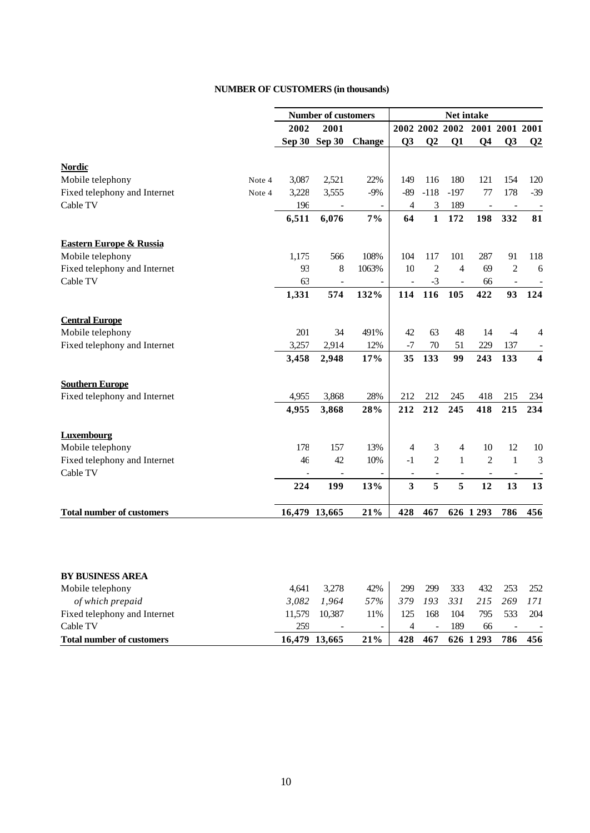## **NUMBER OF CUSTOMERS (in thousands)**

|                                    |        | <b>Number of customers</b> |               |               | Net intake     |                          |                          |                               |                          |                         |
|------------------------------------|--------|----------------------------|---------------|---------------|----------------|--------------------------|--------------------------|-------------------------------|--------------------------|-------------------------|
|                                    |        | 2002                       | 2001          |               |                |                          |                          | 2002 2002 2002 2001 2001 2001 |                          |                         |
|                                    |        |                            | Sep 30 Sep 30 | <b>Change</b> | Q <sub>3</sub> | $\bf Q2$                 | Q <sub>1</sub>           | Q <sub>4</sub>                | Q <sub>3</sub>           | $\bf Q2$                |
| <b>Nordic</b>                      |        |                            |               |               |                |                          |                          |                               |                          |                         |
| Mobile telephony                   | Note 4 | 3,087                      | 2,521         | 22%           | 149            | 116                      | 180                      | 121                           | 154                      | 120                     |
| Fixed telephony and Internet       | Note 4 | 3,228                      | 3,555         | $-9%$         | $-89$          | $-118$                   | $-197$                   | 77                            | 178                      | $-39$                   |
| Cable TV                           |        | 196                        |               |               | $\overline{4}$ | $\mathfrak{Z}$           | 189                      | $\overline{\phantom{a}}$      | $\blacksquare$           |                         |
|                                    |        | 6,511                      | 6,076         | $7\%$         | 64             | $\mathbf{1}$             | 172                      | 198                           | 332                      | 81                      |
| <b>Eastern Europe &amp; Russia</b> |        |                            |               |               |                |                          |                          |                               |                          |                         |
| Mobile telephony                   |        | 1,175                      | 566           | 108%          | 104            | 117                      | 101                      | 287                           | 91                       | 118                     |
| Fixed telephony and Internet       |        | 93                         | 8             | 1063%         | 10             | $\overline{c}$           | 4                        | 69                            | $\overline{2}$           | 6                       |
| Cable TV                           |        | 63                         |               |               |                | $-3$                     | $\overline{\phantom{a}}$ | 66                            |                          |                         |
|                                    |        | 1,331                      | 574           | 132%          | 114            | 116                      | 105                      | 422                           | 93                       | 124                     |
| <b>Central Europe</b>              |        |                            |               |               |                |                          |                          |                               |                          |                         |
| Mobile telephony                   |        | 201                        | 34            | 491%          | 42             | 63                       | 48                       | 14                            | $-4$                     | 4                       |
| Fixed telephony and Internet       |        | 3,257                      | 2,914         | 12%           | $-7$           | 70                       | 51                       | 229                           | 137                      |                         |
|                                    |        | 3,458                      | 2,948         | 17%           | 35             | 133                      | 99                       | 243                           | 133                      | $\overline{\mathbf{4}}$ |
| <b>Southern Europe</b>             |        |                            |               |               |                |                          |                          |                               |                          |                         |
| Fixed telephony and Internet       |        | 4,955                      | 3,868         | 28%           | 212            | 212                      | 245                      | 418                           | 215                      | 234                     |
|                                    |        | 4,955                      | 3,868         | 28%           | 212            | 212                      | 245                      | 418                           | 215                      | 234                     |
| <b>Luxembourg</b>                  |        |                            |               |               |                |                          |                          |                               |                          |                         |
| Mobile telephony                   |        | 178                        | 157           | 13%           | 4              | 3                        | 4                        | 10                            | 12                       | 10                      |
| Fixed telephony and Internet       |        | 46                         | 42            | 10%           | $-1$           | $\overline{c}$           | $\mathbf{1}$             | $\overline{2}$                | $\mathbf{1}$             | 3                       |
| Cable TV                           |        |                            |               |               | $\blacksquare$ | $\blacksquare$           | $\overline{\phantom{a}}$ |                               | $\overline{\phantom{a}}$ |                         |
|                                    |        | 224                        | 199           | 13%           | $\mathbf{3}$   | 5                        | 5                        | 12                            | 13                       | 13                      |
| <b>Total number of customers</b>   |        |                            | 16,479 13,665 | 21%           | 428            | 467                      |                          | 626 1 293                     | 786                      | 456                     |
|                                    |        |                            |               |               |                |                          |                          |                               |                          |                         |
| <b>BY BUSINESS AREA</b>            |        |                            |               |               |                |                          |                          |                               |                          |                         |
| Mobile telephony                   |        | 4,641                      | 3,278         | 42%           | 299            | 299                      | 333                      | 432                           | 253                      | 252                     |
| of which prepaid                   |        | 3,082                      | 1,964         | 57%           | 379            | 193                      | 331                      | 215                           | 269                      | 171                     |
| Fixed telephony and Internet       |        | 11,579                     | 10,387        | 11%           | 125            | 168                      | 104                      | 795                           | 533                      | 204                     |
| Cable TV                           |        | 259                        |               |               | $\overline{4}$ | $\overline{\phantom{a}}$ | 189                      | 66                            | $\overline{\phantom{a}}$ |                         |

**Total number of customers 16,479 13,665 21% 428 467 626 1 293 786 456**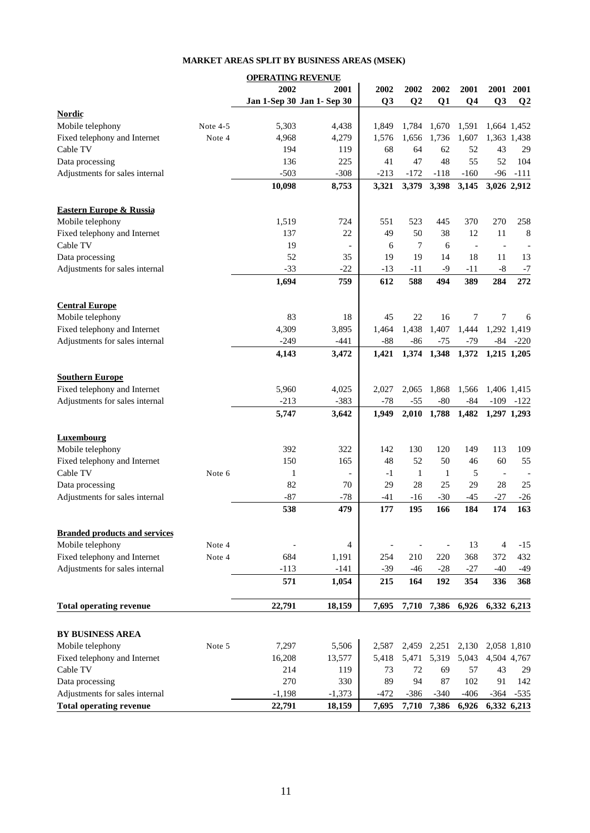## **OPERATING REVENUE 2002 2001 2002 2002 2002 2001 2001 2001 Jan 1-Sep 30 Jan 1- Sep 30 Q3 Q2 Q1 Q4 Q3 Q2 Nordic** Mobile telephony Note 4-5 5,303 4,438 1,849 1,784 1,670 1,591 1,664 1,452 Fixed telephony and Internet Note 4 4,968 4,279 1,576 1,656 1,736 1,607 1,363 1,438 Cable TV 194 119 68 64 62 52 43 29 Data processing 136 225 41 47 48 55 52 104 Adjustments for sales internal -503 -308 -213 -172 -118 -160 -96 -111 **10,098 8,753 3,321 3,379 3,398 3,145 3,026 2,912 Eastern Europe & Russia** Mobile telephony 1,519 724 551 523 445 370 270 258 Fixed telephony and Internet  $\begin{array}{ccccccccc}\n & 137 & 22 & 49 & 50 & 38 & 12 & 11 & 8\n\end{array}$ Cable TV  $19$   $-$  6  $7$  6  $-$ Data processing 2001 2002 52 35 19 19 14 18 11 13 Adjustments for sales internal  $-33$   $-22$   $-13$   $-11$   $-9$   $-11$   $-8$   $-7$ **1,694 759 612 588 494 389 284 272 Central Europe** Mobile telephony 83 18 45 22 16 7 7 6 Fixed telephony and Internet 4,309 4,309 3,895 1,464 1,438 1,407 1,444 1,292 1,419 Adjustments for sales internal  $-249$   $-441$   $-88$   $-86$   $-75$   $-79$   $-84$   $-220$ **4,143 3,472 1,421 1,374 1,348 1,372 1,215 1,205 Southern Europe** Fixed telephony and Internet 5,960 4,025 2,027 2,065 1,868 1,566 1,406 1,415 Adjustments for sales internal  $-213$   $-383$   $-78$   $-55$   $-80$   $-84$   $-109$   $-122$ **5,747 3,642 1,949 2,010 1,788 1,482 1,297 1,293 Luxembourg** Mobile telephony 113 109 392 322 142 130 120 149 113 109 Fixed telephony and Internet 150 165 165 165 165 165 166 55 Cable TV  $\qquad \qquad$  Note 6  $\qquad \qquad$  1 -  $\qquad \qquad$  -1 1 1 5 - -Data processing  $82$   $70$   $29$   $28$   $25$   $29$   $28$   $25$ Adjustments for sales internal  $-87$   $-78$   $-41$   $-16$   $-30$   $-45$   $-27$   $-26$ **538 479 177 195 166 184 174 163 Branded products and services** Mobile telephony  $\qquad \qquad$  Note 4  $\qquad -$  4  $\qquad -$  -  $\qquad$  13  $\qquad$  4 -15 Fixed telephony and Internet Note 4 684 1,191 254 210 220 368 372 432 Adjustments for sales internal  $-113$   $-141$   $-39$   $-46$   $-28$   $-27$   $-40$   $-49$ **571 1,054 215 164 192 354 336 368 Total operating revenue 22,791 18,159 7,695 7,710 7,386 6,926 6,332 6,213 BY BUSINESS AREA** Mobile telephony Note 5 7,297 5,506 2,587 2,459 2,251 2,130 2,058 1,810 Fixed telephony and Internet 16,208 13,577 5,418 5,471 5,319 5,043 4,504 4,767 Cable TV 214 119 73 72 69 57 43 29 Data processing 270 330 89 94 87 102 91 142 Adjustments for sales internal  $-1,198$   $-1,373$   $-472$   $-386$   $-340$   $-406$   $-364$   $-535$ **Total operating revenue 22,791 18,159 7,695 7,710 7,386 6,926 6,332 6,213**

## **MARKET AREAS SPLIT BY BUSINESS AREAS (MSEK)**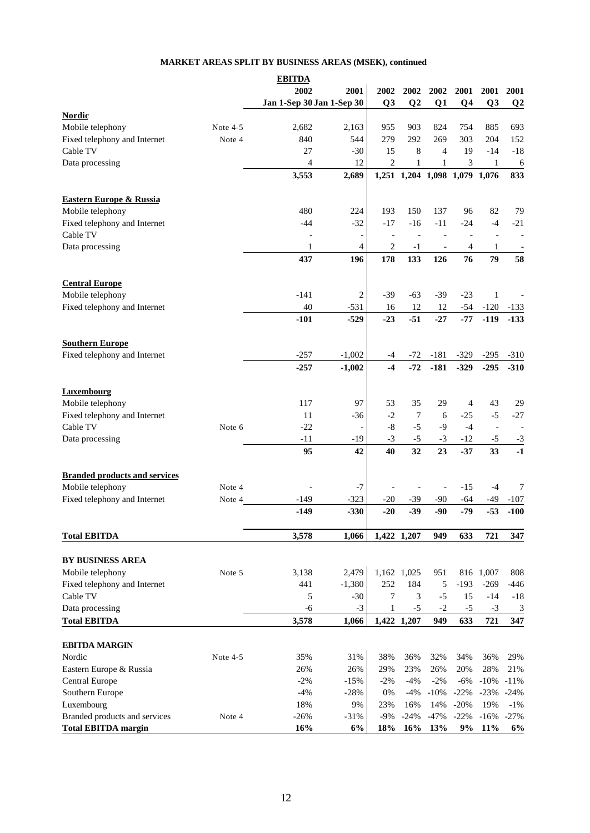## **MARKET AREAS SPLIT BY BUSINESS AREAS (MSEK), continued**

|                                      |            | <b>EBITDA</b>             |          |                |                          |                               |                |                          |                         |
|--------------------------------------|------------|---------------------------|----------|----------------|--------------------------|-------------------------------|----------------|--------------------------|-------------------------|
|                                      |            | 2002                      | 2001     | 2002           | 2002                     | 2002                          | 2001           | 2001                     | 2001                    |
|                                      |            | Jan 1-Sep 30 Jan 1-Sep 30 |          | Q <sub>3</sub> | Q <sub>2</sub>           | Q1                            | Q <sub>4</sub> | Q <sub>3</sub>           | Q <sub>2</sub>          |
| <b>Nordic</b>                        |            |                           |          |                |                          |                               |                |                          |                         |
| Mobile telephony                     | Note 4-5   | 2,682                     | 2,163    | 955            | 903                      | 824                           | 754            | 885                      | 693                     |
| Fixed telephony and Internet         | Note 4     | 840                       | 544      | 279            | 292                      | 269                           | 303            | 204                      | 152                     |
| Cable TV                             |            | 27                        | $-30$    | 15             | $\,8\,$                  | $\overline{4}$                | 19             | $-14$                    | $-18$                   |
|                                      |            |                           |          |                |                          |                               |                |                          |                         |
| Data processing                      |            | 4                         | 12       | $\overline{2}$ | 1                        | 1                             | 3              | $\mathbf{1}$             | 6                       |
|                                      |            | 3,553                     | 2,689    |                |                          | 1,251 1,204 1,098 1,079 1,076 |                |                          | 833                     |
| <b>Eastern Europe &amp; Russia</b>   |            |                           |          |                |                          |                               |                |                          |                         |
|                                      |            | 480                       | 224      | 193            | 150                      | 137                           | 96             | 82                       | 79                      |
| Mobile telephony                     |            |                           |          |                |                          |                               | $-24$          |                          |                         |
| Fixed telephony and Internet         |            | $-44$                     | $-32$    | $-17$          | $-16$                    | $-11$                         |                | $-4$                     | $-21$                   |
| Cable TV                             |            |                           |          |                | $\overline{\phantom{a}}$ |                               |                | $\overline{\phantom{m}}$ |                         |
| Data processing                      |            | 1                         | 4        | $\overline{c}$ | $-1$                     |                               | 4              | 1                        |                         |
|                                      |            | 437                       | 196      | 178            | 133                      | 126                           | 76             | 79                       | 58                      |
| <b>Central Europe</b>                |            |                           |          |                |                          |                               |                |                          |                         |
| Mobile telephony                     |            | $-141$                    | 2        | $-39$          | $-63$                    | $-39$                         | $-23$          | $\mathbf{1}$             |                         |
| Fixed telephony and Internet         |            | 40                        | $-531$   | 16             | 12                       | 12                            | $-54$          | $-120$                   | $-133$                  |
|                                      |            | $-101$                    | $-529$   | $-23$          | $-51$                    | $-27$                         | $-77$          | $-119$                   | $-133$                  |
|                                      |            |                           |          |                |                          |                               |                |                          |                         |
| <b>Southern Europe</b>               |            |                           |          |                |                          |                               |                |                          |                         |
| Fixed telephony and Internet         |            | $-257$                    | $-1,002$ | -4             | $-72$                    | $-181$                        | $-329$         | $-295$                   | $-310$                  |
|                                      |            | $-257$                    | $-1,002$ | $-4$           | $-72$                    | $-181$                        | $-329$         | $-295$                   | $-310$                  |
|                                      |            |                           |          |                |                          |                               |                |                          |                         |
| <b>Luxembourg</b>                    |            |                           |          |                |                          |                               |                |                          |                         |
| Mobile telephony                     |            | 117                       | 97       | 53             | 35                       | 29                            | $\overline{4}$ | 43                       | 29                      |
| Fixed telephony and Internet         |            | 11                        | $-36$    | $-2$           | 7                        | 6                             | $-25$          | $-5$                     | $-27$                   |
| Cable TV                             | Note 6     | $-22$                     |          | $-8$           | $-5$                     | $-9$                          | $-4$           | $\overline{\phantom{a}}$ |                         |
|                                      |            |                           |          |                |                          |                               |                |                          |                         |
| Data processing                      |            | $-11$                     | -19      | $-3$           | $-5$                     | $-3$                          | $-12$          | $-5$                     | $-3$                    |
|                                      |            | 95                        | 42       | 40             | 32                       | 23                            | $-37$          | 33                       | $-1$                    |
| <b>Branded products and services</b> |            |                           |          |                |                          |                               |                |                          |                         |
| Mobile telephony                     | Note 4     |                           | $-7$     |                |                          |                               | -15            | $-4$                     | 7                       |
| Fixed telephony and Internet         | Note 4     | $-149$                    | $-323$   | $-20$          | $-39$                    | -90                           | $-64$          | $-49$                    | -107                    |
|                                      |            | $-149$                    | $-330$   | $-20$          | $-39$                    | $-90$                         | $-79$          | $-53$                    | $-100$                  |
|                                      |            |                           |          |                |                          |                               |                |                          |                         |
| <b>Total EBITDA</b>                  |            | 3,578                     | 1,066    |                | 1,422 1,207              | 949                           | 633            | 721                      | 347                     |
|                                      |            |                           |          |                |                          |                               |                |                          |                         |
| BY BUSINESS AREA                     |            |                           |          |                |                          |                               |                |                          |                         |
| Mobile telephony                     | Note 5     | 3,138                     | 2,479    |                | 1,162 1,025              | 951                           |                | 816 1,007                | 808                     |
| Fixed telephony and Internet         |            | 441                       | $-1,380$ | 252            | 184                      | 5                             | $-193$         | $-269$                   | $-446$                  |
| Cable TV                             |            | 5                         | $-30$    | 7              | 3                        | $-5$                          | 15             | $-14$                    | $-18$                   |
| Data processing                      |            | $-6$                      | $-3$     | 1              | $-5$                     | $-2$                          | $-5$           | $-3$                     | $\overline{\mathbf{3}}$ |
| <b>Total EBITDA</b>                  |            | 3,578                     | 1,066    |                | 1,422 1,207              | 949                           | 633            | 721                      | 347                     |
|                                      |            |                           |          |                |                          |                               |                |                          |                         |
| <b>EBITDA MARGIN</b>                 |            |                           |          |                |                          |                               |                |                          |                         |
| Nordic                               | Note $4-5$ | 35%                       | 31%      | 38%            | 36%                      | 32%                           | 34%            | 36%                      | 29%                     |
| Eastern Europe & Russia              |            | 26%                       | 26%      | 29%            | 23%                      | 26%                           | 20%            | 28%                      | 21%                     |
| Central Europe                       |            | $-2%$                     | $-15%$   | $-2%$          | $-4%$                    | $-2%$                         | $-6%$          | $-10%$                   | $-11%$                  |
| Southern Europe                      |            | $-4%$                     | $-28%$   | 0%             | $-4%$                    | $-10%$                        | $-22%$         | $-23%$                   | $-24%$                  |
| Luxembourg                           |            | 18%                       | 9%       | 23%            | 16%                      | 14%                           | $-20%$         | 19%                      | $-1%$                   |
| Branded products and services        | Note 4     | $-26%$                    | $-31%$   | $-9%$          | $-24%$                   | $-47%$                        | $-22%$         | $-16%$                   | $-27%$                  |
| <b>Total EBITDA margin</b>           |            | 16%                       | 6%       | 18%            | 16%                      | 13%                           | 9%             | 11%                      | 6%                      |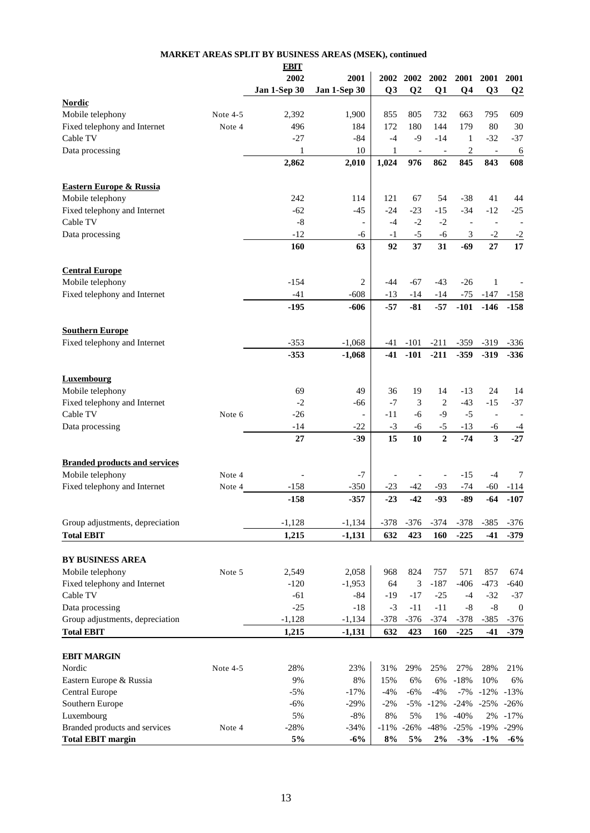|                                      |          | <b>EBIT</b>  |                          |                |                          |                          |                          |                               |                          |
|--------------------------------------|----------|--------------|--------------------------|----------------|--------------------------|--------------------------|--------------------------|-------------------------------|--------------------------|
|                                      |          | 2002         | 2001                     | 2002           | 2002                     | 2002                     | 2001                     | <b>2001</b>                   | 2001                     |
|                                      |          | Jan 1-Sep 30 | Jan 1-Sep 30             | Q <sub>3</sub> | Q <sub>2</sub>           | Q <sub>1</sub>           | Q <sub>4</sub>           | Q3                            | Q <sub>2</sub>           |
| <b>Nordic</b>                        |          |              |                          |                |                          |                          |                          |                               |                          |
| Mobile telephony                     | Note 4-5 | 2,392        | 1,900                    | 855            | 805                      | 732                      | 663                      | 795                           | 609                      |
| Fixed telephony and Internet         | Note 4   | 496          | 184                      | 172            | 180                      | 144                      | 179                      | 80                            | 30                       |
| Cable TV                             |          | $-27$        | $-84$                    | $-4$           | -9                       | $-14$                    | 1                        | $-32$                         | $-37$                    |
| Data processing                      |          | 1            | 10                       | 1              | $\overline{\phantom{a}}$ | $\overline{\phantom{a}}$ | $\overline{c}$           | $\overline{\phantom{a}}$      | 6                        |
|                                      |          | 2,862        | 2,010                    | 1,024          | 976                      | 862                      | 845                      | 843                           | 608                      |
|                                      |          |              |                          |                |                          |                          |                          |                               |                          |
| <b>Eastern Europe &amp; Russia</b>   |          |              |                          |                |                          |                          |                          |                               |                          |
| Mobile telephony                     |          | 242          | 114                      | 121            | 67                       | 54                       | $-38$                    | 41                            | 44                       |
| Fixed telephony and Internet         |          | $-62$        | $-45$                    | $-24$          | $-23$                    | $-15$                    | $-34$                    | $-12$                         | $-25$                    |
| Cable TV                             |          | $-8$         |                          | $-4$           | $-2$                     | $-2$                     | $\overline{\phantom{a}}$ | $\overline{\phantom{a}}$      |                          |
| Data processing                      |          | $-12$        | -6                       | $-1$           | $-5$                     | $-6$                     | 3                        | $-2$                          | $-2$                     |
|                                      |          | 160          | 63                       | 92             | 37                       | 31                       | $-69$                    | 27                            | 17                       |
|                                      |          |              |                          |                |                          |                          |                          |                               |                          |
| <b>Central Europe</b>                |          |              |                          |                |                          |                          |                          |                               |                          |
| Mobile telephony                     |          | $-154$       | 2                        | -44            | -67                      | -43                      | $-26$                    | 1                             |                          |
| Fixed telephony and Internet         |          | $-41$        | -608                     | $-13$          | $-14$                    | $-14$                    | $-75$                    | $-147$                        | -158                     |
|                                      |          | $-195$       | $-606$                   | $-57$          | $-81$                    | $-57$                    | $-101$                   | $-146$                        | $-158$                   |
|                                      |          |              |                          |                |                          |                          |                          |                               |                          |
| <b>Southern Europe</b>               |          |              |                          |                |                          |                          |                          |                               |                          |
| Fixed telephony and Internet         |          | $-353$       | $-1,068$                 | -41            | $-101$                   | $-211$                   | $-359$                   | $-319$                        | $-336$                   |
|                                      |          | $-353$       | $-1,068$                 | $-41$          | $-101$                   | $-211$                   | $-359$                   | $-319$                        | $-336$                   |
|                                      |          |              |                          |                |                          |                          |                          |                               |                          |
| <b>Luxembourg</b>                    |          |              |                          |                |                          |                          |                          |                               |                          |
| Mobile telephony                     |          | 69           | 49                       | 36             | 19                       | 14                       | -13                      | 24                            | 14                       |
| Fixed telephony and Internet         |          | $-2$         | -66                      | $-7$           | 3                        | $\overline{c}$           | $-43$                    | $-15$                         | $-37$                    |
| Cable TV                             | Note 6   | $-26$        | $\overline{\phantom{a}}$ | -11            | -6                       | $-9$                     | $-5$                     | $\overline{\phantom{a}}$      |                          |
|                                      |          |              |                          |                |                          |                          |                          |                               | $\overline{\phantom{a}}$ |
| Data processing                      |          | -14          | $-22$                    | $-3$           | -6                       | $-5$<br>$\overline{2}$   | $-13$                    | -6<br>$\overline{\mathbf{3}}$ | -4                       |
|                                      |          | 27           | $-39$                    | 15             | 10                       |                          | $-74$                    |                               | $-27$                    |
| <b>Branded products and services</b> |          |              |                          |                |                          |                          |                          |                               |                          |
| Mobile telephony                     | Note 4   |              | $-7$                     |                |                          |                          | $-15$                    | $-4$                          | 7                        |
| Fixed telephony and Internet         |          | $-158$       | $-350$                   | -23            | -42                      | $-93$                    | $-74$                    | $-60$                         |                          |
|                                      | Note 4   |              |                          | $-23$          | $-42$                    | $-93$                    | $-89$                    |                               | -114                     |
|                                      |          | $-158$       | $-357$                   |                |                          |                          |                          | $-64$                         | $-107$                   |
| Group adjustments, depreciation      |          | $-1,128$     | $-1,134$                 | $-378$         | $-376$                   | $-374$                   | $-378$                   | $-385$                        | -376                     |
| <b>Total EBIT</b>                    |          | 1,215        | $-1,131$                 | 632            | 423                      | 160                      | $-225$                   | $-41$                         | $-379$                   |
|                                      |          |              |                          |                |                          |                          |                          |                               |                          |
| <b>BY BUSINESS AREA</b>              |          |              |                          |                |                          |                          |                          |                               |                          |
| Mobile telephony                     | Note 5   | 2,549        | 2,058                    | 968            | 824                      | 757                      | 571                      | 857                           | 674                      |
| Fixed telephony and Internet         |          | $-120$       | $-1,953$                 | 64             | 3                        | $-187$                   | $-406$                   | $-473$                        | $-640$                   |
| Cable TV                             |          | $-61$        | $-84$                    | $-19$          | $-17$                    | $-25$                    | $-4$                     | $-32$                         | $-37$                    |
| Data processing                      |          | $-25$        | $-18$                    | $-3$           | $-11$                    | $-11$                    | $\text{-}8$              | $\text{-}8$                   | $\boldsymbol{0}$         |
| Group adjustments, depreciation      |          | $-1,128$     | $-1,134$                 | $-378$         | $-376$                   | $-374$                   | $-378$                   | $-385$                        | $-376$                   |
| <b>Total EBIT</b>                    |          |              |                          | 632            | 423                      | 160                      | $-225$                   | $-41$                         |                          |
|                                      |          | 1,215        | $-1,131$                 |                |                          |                          |                          |                               | $-379$                   |
| <b>EBIT MARGIN</b>                   |          |              |                          |                |                          |                          |                          |                               |                          |
| Nordic                               | Note 4-5 | 28%          | 23%                      | 31%            | 29%                      | 25%                      | 27%                      | 28%                           | 21%                      |
|                                      |          | 9%           | 8%                       | 15%            | 6%                       | 6%                       | $-18%$                   | 10%                           | 6%                       |
| Eastern Europe & Russia              |          | $-5%$        | $-17%$                   | $-4%$          | $-6%$                    | $-4%$                    | $-7%$                    |                               | $-13%$                   |
| Central Europe                       |          |              |                          |                |                          |                          |                          | $-12%$                        |                          |
| Southern Europe                      |          | $-6%$        | $-29%$                   | $-2\%$         | $-5%$                    | $-12%$                   | $-24%$                   | $-25%$                        | $-26%$                   |
| Luxembourg                           |          | 5%           | $-8\%$                   | 8%             | 5%                       | 1%                       | $-40%$                   | 2%                            | $-17%$                   |
| Branded products and services        | Note 4   | $-28%$       | $-34%$                   | $-11%$         | $-26%$                   | $-48%$                   | $-25%$                   | $-19%$                        | $-29%$                   |
| <b>Total EBIT margin</b>             |          | 5%           | $-6%$                    | 8%             | 5%                       | 2%                       | $-3%$                    | $-1\%$                        | $-6%$                    |

## **MARKET AREAS SPLIT BY BUSINESS AREAS (MSEK), continued**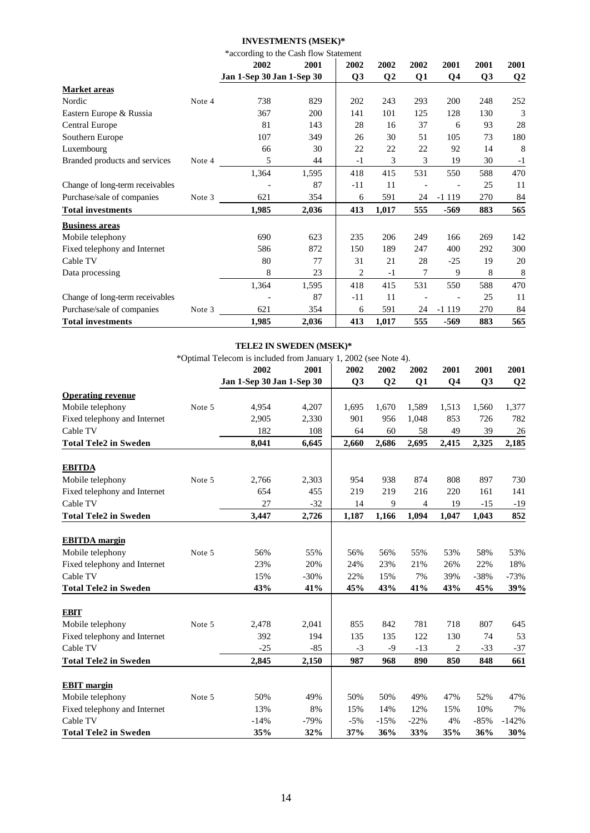## **INVESTMENTS (MSEK)\***

|                                 |        | *according to the Cash flow Statement |       |                |                |      |                |                |                 |  |
|---------------------------------|--------|---------------------------------------|-------|----------------|----------------|------|----------------|----------------|-----------------|--|
|                                 |        | 2002                                  | 2001  | 2002           | 2002           | 2002 | 2001           | 2001           | 2001            |  |
|                                 |        | Jan 1-Sep 30 Jan 1-Sep 30             |       | Q <sub>3</sub> | Q <sub>2</sub> | Q1   | Q <sub>4</sub> | Q <sub>3</sub> | $\overline{Q2}$ |  |
| Market areas                    |        |                                       |       |                |                |      |                |                |                 |  |
| Nordic                          | Note 4 | 738                                   | 829   | 202            | 243            | 293  | 200            | 248            | 252             |  |
| Eastern Europe & Russia         |        | 367                                   | 200   | 141            | 101            | 125  | 128            | 130            | 3               |  |
| Central Europe                  |        | 81                                    | 143   | 28             | 16             | 37   | 6              | 93             | 28              |  |
| Southern Europe                 |        | 107                                   | 349   | 26             | 30             | 51   | 105            | 73             | 180             |  |
| Luxembourg                      |        | 66                                    | 30    | 22             | 22             | 22   | 92             | 14             | 8               |  |
| Branded products and services   | Note 4 | 5                                     | 44    | $-1$           | 3              | 3    | 19             | 30             | $-1$            |  |
|                                 |        | 1,364                                 | 1,595 | 418            | 415            | 531  | 550            | 588            | 470             |  |
| Change of long-term receivables |        |                                       | 87    | $-11$          | 11             |      |                | 25             | 11              |  |
| Purchase/sale of companies      | Note 3 | 621                                   | 354   | 6              | 591            | 24   | $-1119$        | 270            | 84              |  |
| <b>Total investments</b>        |        | 1,985                                 | 2,036 | 413            | 1,017          | 555  | $-569$         | 883            | 565             |  |
| <b>Business areas</b>           |        |                                       |       |                |                |      |                |                |                 |  |
| Mobile telephony                |        | 690                                   | 623   | 235            | 206            | 249  | 166            | 269            | 142             |  |
| Fixed telephony and Internet    |        | 586                                   | 872   | 150            | 189            | 247  | 400            | 292            | 300             |  |
| Cable TV                        |        | 80                                    | 77    | 31             | 21             | 28   | $-25$          | 19             | 20              |  |
| Data processing                 |        | 8                                     | 23    | 2              | $-1$           | 7    | 9              | 8              | 8               |  |
|                                 |        | 1,364                                 | 1,595 | 418            | 415            | 531  | 550            | 588            | 470             |  |
| Change of long-term receivables |        |                                       | 87    | $-11$          | 11             |      |                | 25             | 11              |  |
| Purchase/sale of companies      | Note 3 | 621                                   | 354   | 6              | 591            | 24   | $-1119$        | 270            | 84              |  |
| <b>Total investments</b>        |        | 1,985                                 | 2,036 | 413            | 1,017          | 555  | -569           | 883            | 565             |  |

## **TELE2 IN SWEDEN (MSEK)\***

\*Optimal Telecom is included from January 1, 2002 (see Note 4).

|                              |        | 2002                      | 2001   | 2002           | 2002           | 2002   | 2001           | 2001           | 2001           |
|------------------------------|--------|---------------------------|--------|----------------|----------------|--------|----------------|----------------|----------------|
|                              |        | Jan 1-Sep 30 Jan 1-Sep 30 |        | Q <sub>3</sub> | Q <sub>2</sub> | Q1     | Q <sub>4</sub> | Q <sub>3</sub> | Q <sub>2</sub> |
| <b>Operating revenue</b>     |        |                           |        |                |                |        |                |                |                |
| Mobile telephony             | Note 5 | 4,954                     | 4,207  | 1,695          | 1,670          | 1,589  | 1,513          | 1,560          | 1,377          |
| Fixed telephony and Internet |        | 2,905                     | 2,330  | 901            | 956            | 1,048  | 853            | 726            | 782            |
| Cable TV                     |        | 182                       | 108    | 64             | 60             | 58     | 49             | 39             | 26             |
| <b>Total Tele2 in Sweden</b> |        | 8,041                     | 6,645  | 2,660          | 2,686          | 2,695  | 2,415          | 2,325          | 2,185          |
|                              |        |                           |        |                |                |        |                |                |                |
| <b>EBITDA</b>                |        |                           |        |                |                |        |                |                |                |
| Mobile telephony             | Note 5 | 2,766                     | 2,303  | 954            | 938            | 874    | 808            | 897            | 730            |
| Fixed telephony and Internet |        | 654                       | 455    | 219            | 219            | 216    | 220            | 161            | 141            |
| Cable TV                     |        | 27                        | $-32$  | 14             | 9              | 4      | 19             | $-15$          | $-19$          |
| <b>Total Tele2 in Sweden</b> |        | 3,447                     | 2,726  | 1,187          | 1,166          | 1,094  | 1,047          | 1,043          | 852            |
| <b>EBITDA</b> margin         |        |                           |        |                |                |        |                |                |                |
| Mobile telephony             | Note 5 | 56%                       | 55%    | 56%            | 56%            | 55%    | 53%            | 58%            | 53%            |
| Fixed telephony and Internet |        | 23%                       | 20%    | 24%            | 23%            | 21%    | 26%            | 22%            | 18%            |
| Cable TV                     |        | 15%                       | $-30%$ | 22%            | 15%            | 7%     | 39%            | $-38%$         | $-73%$         |
| <b>Total Tele2 in Sweden</b> |        | 43%                       | 41%    | 45%            | 43%            | 41%    | 43%            | 45%            | 39%            |
| <b>EBIT</b>                  |        |                           |        |                |                |        |                |                |                |
| Mobile telephony             | Note 5 | 2,478                     | 2,041  | 855            | 842            | 781    | 718            | 807            | 645            |
| Fixed telephony and Internet |        | 392                       | 194    | 135            | 135            | 122    | 130            | 74             | 53             |
| Cable TV                     |        | $-25$                     | $-85$  | $-3$           | $-9$           | $-13$  | $\overline{c}$ | $-33$          | $-37$          |
| <b>Total Tele2 in Sweden</b> |        | 2,845                     | 2,150  | 987            | 968            | 890    | 850            | 848            | 661            |
|                              |        |                           |        |                |                |        |                |                |                |
| <b>EBIT</b> margin           |        |                           |        |                |                |        |                |                |                |
| Mobile telephony             | Note 5 | 50%                       | 49%    | 50%            | 50%            | 49%    | 47%            | 52%            | 47%            |
| Fixed telephony and Internet |        | 13%                       | 8%     | 15%            | 14%            | 12%    | 15%            | 10%            | 7%             |
| Cable TV                     |        | $-14%$                    | $-79%$ | $-5%$          | $-15%$         | $-22%$ | 4%             | $-85%$         | $-142%$        |
| <b>Total Tele2 in Sweden</b> |        | 35%                       | 32%    | 37%            | 36%            | 33%    | 35%            | 36%            | 30%            |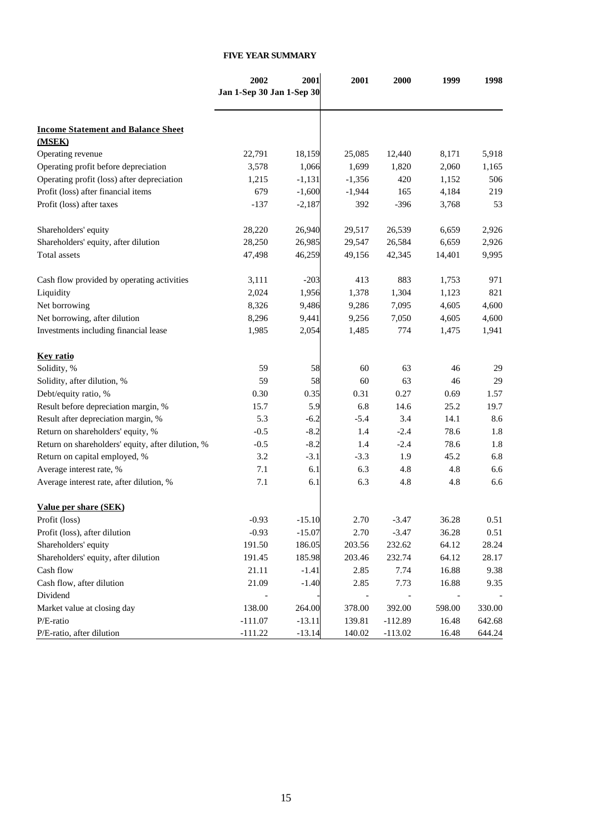### **FIVE YEAR SUMMARY**

|                                                   | 2002                      | 2001     | 2001     | 2000      | 1999   | 1998   |
|---------------------------------------------------|---------------------------|----------|----------|-----------|--------|--------|
|                                                   | Jan 1-Sep 30 Jan 1-Sep 30 |          |          |           |        |        |
|                                                   |                           |          |          |           |        |        |
| <b>Income Statement and Balance Sheet</b>         |                           |          |          |           |        |        |
| (MSEK)                                            |                           |          |          |           |        |        |
| Operating revenue                                 | 22,791                    | 18,159   | 25,085   | 12,440    | 8,171  | 5,918  |
| Operating profit before depreciation              | 3,578                     | 1,066    | 1,699    | 1,820     | 2,060  | 1,165  |
| Operating profit (loss) after depreciation        | 1,215                     | $-1,131$ | $-1,356$ | 420       | 1,152  | 506    |
| Profit (loss) after financial items               | 679                       | $-1,600$ | $-1,944$ | 165       | 4,184  | 219    |
| Profit (loss) after taxes                         | $-137$                    | $-2,187$ | 392      | $-396$    | 3,768  | 53     |
| Shareholders' equity                              | 28,220                    | 26,940   | 29,517   | 26,539    | 6,659  | 2,926  |
| Shareholders' equity, after dilution              | 28,250                    | 26,985   | 29,547   | 26,584    | 6,659  | 2,926  |
| Total assets                                      | 47,498                    | 46,259   | 49,156   | 42,345    | 14,401 | 9,995  |
| Cash flow provided by operating activities        | 3,111                     | $-203$   | 413      | 883       | 1,753  | 971    |
| Liquidity                                         | 2,024                     | 1,956    | 1,378    | 1,304     | 1,123  | 821    |
| Net borrowing                                     | 8,326                     | 9,486    | 9,286    | 7,095     | 4,605  | 4,600  |
| Net borrowing, after dilution                     | 8,296                     | 9,441    | 9,256    | 7,050     | 4,605  | 4,600  |
| Investments including financial lease             | 1,985                     | 2,054    | 1,485    | 774       | 1,475  | 1,941  |
| <b>Kev ratio</b>                                  |                           |          |          |           |        |        |
| Solidity, %                                       | 59                        | 58       | 60       | 63        | 46     | 29     |
| Solidity, after dilution, %                       | 59                        | 58       | 60       | 63        | 46     | 29     |
| Debt/equity ratio, %                              | 0.30                      | 0.35     | 0.31     | 0.27      | 0.69   | 1.57   |
| Result before depreciation margin, %              | 15.7                      | 5.9      | 6.8      | 14.6      | 25.2   | 19.7   |
| Result after depreciation margin, %               | 5.3                       | $-6.2$   | $-5.4$   | 3.4       | 14.1   | 8.6    |
| Return on shareholders' equity, %                 | $-0.5$                    | $-8.2$   | 1.4      | $-2.4$    | 78.6   | 1.8    |
| Return on shareholders' equity, after dilution, % | $-0.5$                    | $-8.2$   | 1.4      | $-2.4$    | 78.6   | 1.8    |
| Return on capital employed, %                     | 3.2                       | $-3.1$   | $-3.3$   | 1.9       | 45.2   | 6.8    |
| Average interest rate, %                          | 7.1                       | 6.1      | 6.3      | 4.8       | 4.8    | 6.6    |
| Average interest rate, after dilution, %          | 7.1                       | 6.1      | 6.3      | 4.8       | 4.8    | 6.6    |
| Value per share (SEK)                             |                           |          |          |           |        |        |
| Profit (loss)                                     | -0.93                     | $-15.10$ | 2.70     | -3.47     | 36.28  | 0.51   |
| Profit (loss), after dilution                     | $-0.93$                   | $-15.07$ | 2.70     | $-3.47$   | 36.28  | 0.51   |
| Shareholders' equity                              | 191.50                    | 186.05   | 203.56   | 232.62    | 64.12  | 28.24  |
| Shareholders' equity, after dilution              | 191.45                    | 185.98   | 203.46   | 232.74    | 64.12  | 28.17  |
| Cash flow                                         | 21.11                     | $-1.41$  | 2.85     | 7.74      | 16.88  | 9.38   |
| Cash flow, after dilution                         | 21.09                     | $-1.40$  | 2.85     | 7.73      | 16.88  | 9.35   |
| Dividend                                          |                           |          |          |           |        |        |
| Market value at closing day                       | 138.00                    | 264.00   | 378.00   | 392.00    | 598.00 | 330.00 |
| P/E-ratio                                         | $-111.07$                 | $-13.11$ | 139.81   | $-112.89$ | 16.48  | 642.68 |
| P/E-ratio, after dilution                         | $-111.22$                 | $-13.14$ | 140.02   | $-113.02$ | 16.48  | 644.24 |